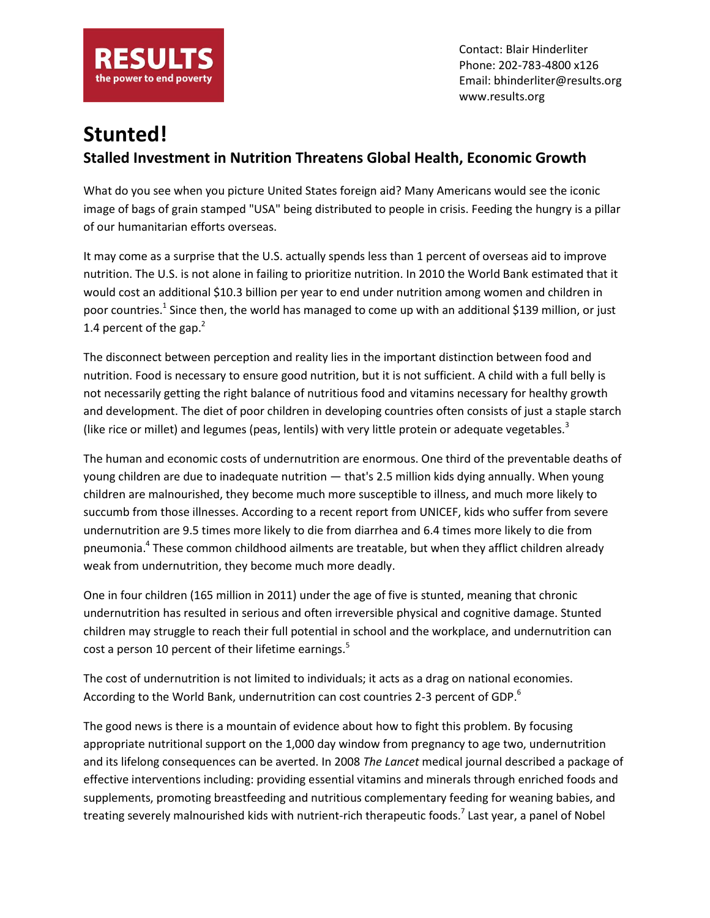

Contact: Blair Hinderliter Phone: 202-783-4800 x126 Email: bhinderliter@results.org www.results.org

## **Stunted! Stalled Investment in Nutrition Threatens Global Health, Economic Growth**

What do you see when you picture United States foreign aid? Many Americans would see the iconic image of bags of grain stamped "USA" being distributed to people in crisis. Feeding the hungry is a pillar of our humanitarian efforts overseas.

It may come as a surprise that the U.S. actually spends less than 1 percent of overseas aid to improve nutrition. The U.S. is not alone in failing to prioritize nutrition. In 2010 the World Bank estimated that it would cost an additional \$10.3 billion per year to end under nutrition among women and children in poor countries.<sup>1</sup> Since then, the world has managed to come up with an additional \$139 million, or just 1.4 percent of the gap. $<sup>2</sup>$ </sup>

The disconnect between perception and reality lies in the important distinction between food and nutrition. Food is necessary to ensure good nutrition, but it is not sufficient. A child with a full belly is not necessarily getting the right balance of nutritious food and vitamins necessary for healthy growth and development. The diet of poor children in developing countries often consists of just a staple starch (like rice or millet) and legumes (peas, lentils) with very little protein or adequate vegetables. $3$ 

The human and economic costs of undernutrition are enormous. One third of the preventable deaths of young children are due to inadequate nutrition — that's 2.5 million kids dying annually. When young children are malnourished, they become much more susceptible to illness, and much more likely to succumb from those illnesses. According to a recent report from UNICEF, kids who suffer from severe undernutrition are 9.5 times more likely to die from diarrhea and 6.4 times more likely to die from pneumonia.<sup>4</sup> These common childhood ailments are treatable, but when they afflict children already weak from undernutrition, they become much more deadly.

One in four children (165 million in 2011) under the age of five is stunted, meaning that chronic undernutrition has resulted in serious and often irreversible physical and cognitive damage. Stunted children may struggle to reach their full potential in school and the workplace, and undernutrition can cost a person 10 percent of their lifetime earnings.<sup>5</sup>

The cost of undernutrition is not limited to individuals; it acts as a drag on national economies. According to the World Bank, undernutrition can cost countries 2-3 percent of GDP.<sup>6</sup>

The good news is there is a mountain of evidence about how to fight this problem. By focusing appropriate nutritional support on the 1,000 day window from pregnancy to age two, undernutrition and its lifelong consequences can be averted. In 2008 *The Lancet* medical journal described a package of effective interventions including: providing essential vitamins and minerals through enriched foods and supplements, promoting breastfeeding and nutritious complementary feeding for weaning babies, and treating severely malnourished kids with nutrient-rich therapeutic foods.<sup>7</sup> Last year, a panel of Nobel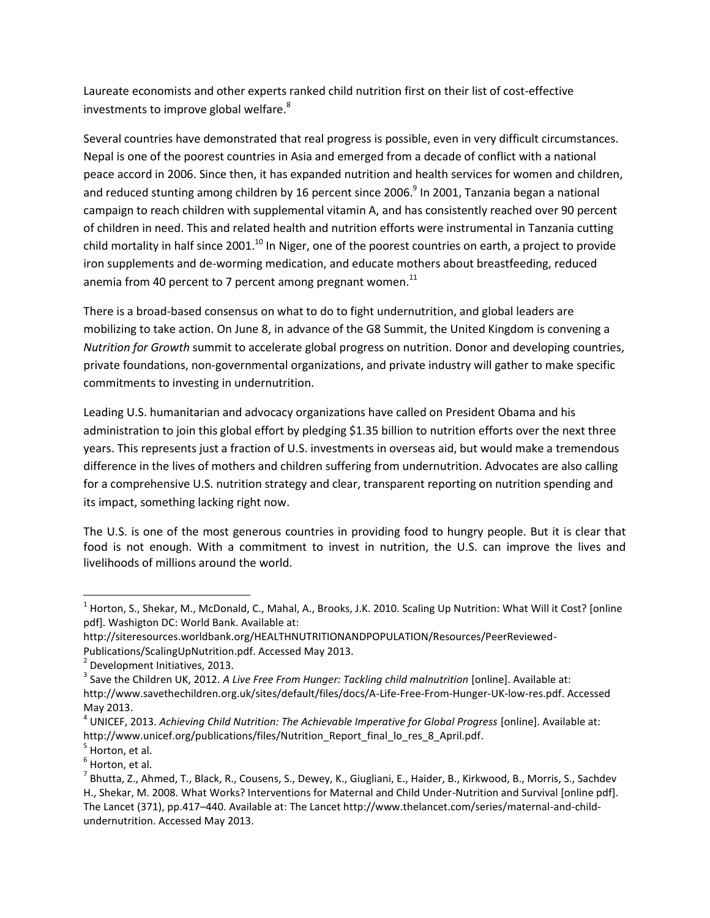Laureate economists and other experts ranked child nutrition first on their list of cost-effective investments to improve global welfare.<sup>8</sup>

Several countries have demonstrated that real progress is possible, even in very difficult circumstances. Nepal is one of the poorest countries in Asia and emerged from a decade of conflict with a national peace accord in 2006. Since then, it has expanded nutrition and health services for women and children, and reduced stunting among children by 16 percent since 2006.<sup>9</sup> In 2001, Tanzania began a national campaign to reach children with supplemental vitamin A, and has consistently reached over 90 percent of children in need. This and related health and nutrition efforts were instrumental in Tanzania cutting child mortality in half since 2001. $^{10}$  In Niger, one of the poorest countries on earth, a project to provide iron supplements and de-worming medication, and educate mothers about breastfeeding, reduced anemia from 40 percent to 7 percent among pregnant women. $^{11}$ 

There is a broad-based consensus on what to do to fight undernutrition, and global leaders are mobilizing to take action. On June 8, in advance of the G8 Summit, the United Kingdom is convening a *Nutrition for Growth* summit to accelerate global progress on nutrition. Donor and developing countries, private foundations, non-governmental organizations, and private industry will gather to make specific commitments to investing in undernutrition.

Leading U.S. humanitarian and advocacy organizations have called on President Obama and his administration to join this global effort by pledging \$1.35 billion to nutrition efforts over the next three years. This represents just a fraction of U.S. investments in overseas aid, but would make a tremendous difference in the lives of mothers and children suffering from undernutrition. Advocates are also calling for a comprehensive U.S. nutrition strategy and clear, transparent reporting on nutrition spending and its impact, something lacking right now.

The U.S. is one of the most generous countries in providing food to hungry people. But it is clear that food is not enough. With a commitment to invest in nutrition, the U.S. can improve the lives and livelihoods of millions around the world.

 $\overline{\phantom{a}}$ 

<sup>&</sup>lt;sup>1</sup> Horton, S., Shekar, M., McDonald, C., Mahal, A., Brooks, J.K. 2010. Scaling Up Nutrition: What Will it Cost? [online pdf]. Washigton DC: World Bank. Available at:

http://siteresources.worldbank.org/HEALTHNUTRITIONANDPOPULATION/Resources/PeerReviewed-Publications/ScalingUpNutrition.pdf. Accessed May 2013.

<sup>&</sup>lt;sup>2</sup> Development Initiatives, 2013.

<sup>&</sup>lt;sup>3</sup> Save the Children UK, 2012. *A Live Free From Hunger: Tackling child malnutrition* [online]. Available at: http://www.savethechildren.org.uk/sites/default/files/docs/A-Life-Free-From-Hunger-UK-low-res.pdf. Accessed May 2013.

<sup>4</sup> UNICEF, 2013. *Achieving Child Nutrition: The Achievable Imperative for Global Progress* [online]. Available at: http://www.unicef.org/publications/files/Nutrition\_Report\_final\_lo\_res\_8\_April.pdf.

<sup>&</sup>lt;sup>5</sup> Horton, et al.

<sup>&</sup>lt;sup>6</sup> Horton, et al.

<sup>&</sup>lt;sup>7</sup> Bhutta, Z., Ahmed, T., Black, R., Cousens, S., Dewey, K., Giugliani, E., Haider, B., Kirkwood, B., Morris, S., Sachdev H., Shekar, M. 2008. What Works? Interventions for Maternal and Child Under-Nutrition and Survival [online pdf]. The Lancet (371), pp.417–440. Available at: The Lancet http://www.thelancet.com/series/maternal-and-childundernutrition. Accessed May 2013.